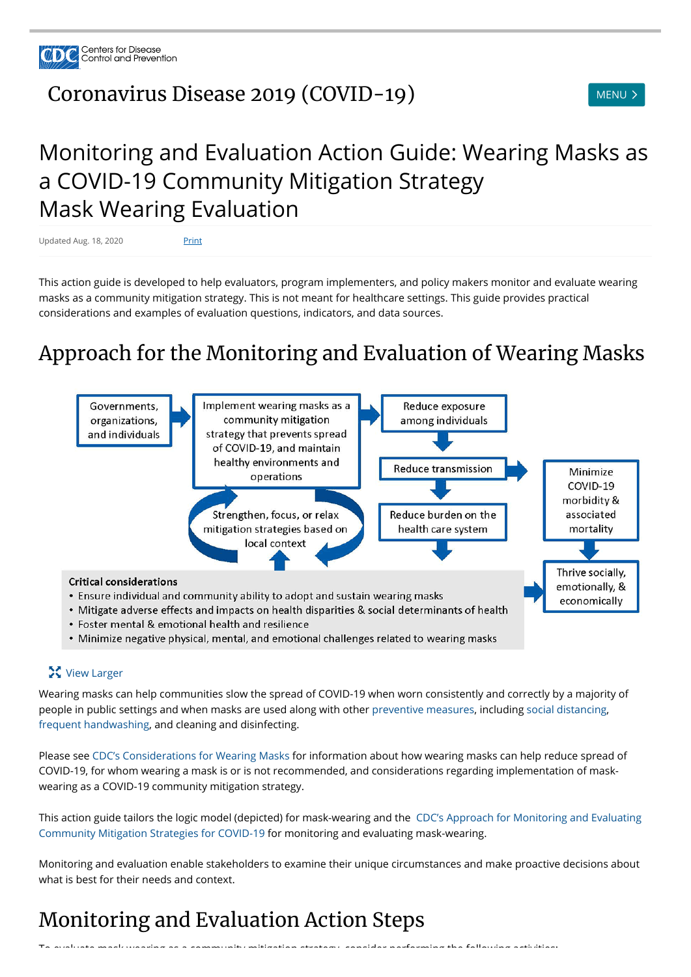

## [Coronavirus](https://www.cdc.gov/coronavirus/2019-nCoV/index.html) Disease 2019 (COVID-19) MENU > MENU >



# Monitoring and Evaluation Action Guide: Wearing Masks as a COVID-19 Community Mitigation Strategy Mask Wearing Evaluation

Updated Aug. 18, 2020 Print

This action guide is developed to help evaluators, program implementers, and policy makers monitor and evaluate wearing masks as a community mitigation strategy. This is not meant for healthcare settings. This guide provides practical considerations and examples of evaluation questions, indicators, and data sources.

## Approach for the Monitoring and Evaluation of Wearing Masks



#### **X** View Larger

Wearing masks can help communities slow the spread of COVID-19 when worn consistently and correctly by a majority of people in public settings and when masks are used along with other [preventive measures,](https://www.cdc.gov/coronavirus/2019-ncov/prevent-getting-sick/prevention.html) including [social distancing,](https://www.cdc.gov/coronavirus/2019-ncov/prevent-getting-sick/social-distancing.html) [frequent handwashing,](https://www.cdc.gov/handwashing/when-how-handwashing.html) and cleaning and disinfecting.

Please see [CDC's Considerations for Wearing Masks](https://www.cdc.gov/coronavirus/2019-ncov/prevent-getting-sick/cloth-face-cover-guidance.html) for information about how wearing masks can help reduce spread of COVID-19, for whom wearing a mask is or is not recommended, and considerations regarding implementation of maskwearing as a COVID-19 community mitigation strategy.

[This action guide tailors the logic model \(depicted\) for mask-wearing and the CDC's Approach for Monitoring and Evaluating](https://www.cdc.gov/coronavirus/2019-ncov/php/monitoring-evaluating-community-mitigation-strategies.html) Community Mitigation Strategies for COVID-19 for monitoring and evaluating mask-wearing.

Monitoring and evaluation enable stakeholders to examine their unique circumstances and make proactive decisions about what is best for their needs and context.

### Monitoring and Evaluation Action Steps

 $\tau$  as a community mask wear as a community mitigation strategy consider performing the following activities:<br>: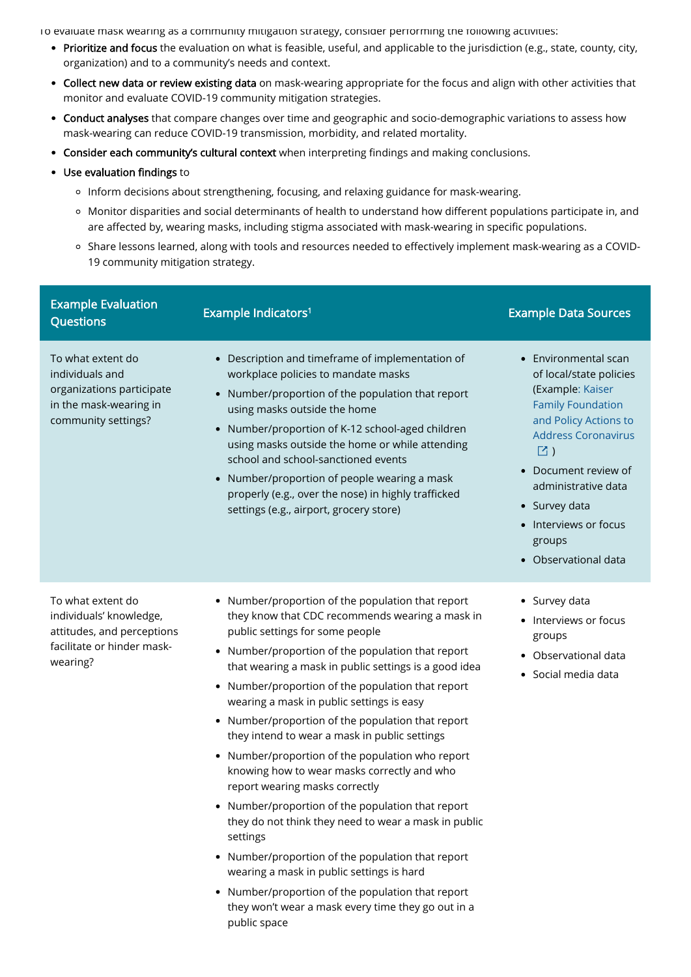To evaluate mask wearing as a community mitigation strategy, consider performing the following activities:

- Prioritize and focus the evaluation on what is feasible, useful, and applicable to the jurisdiction (e.g., state, county, city, organization) and to a community's needs and context.
- Collect new data or review existing data on mask-wearing appropriate for the focus and align with other activities that monitor and evaluate COVID-19 community mitigation strategies.
- Conduct analyses that compare changes over time and geographic and socio-demographic variations to assess how mask-wearing can reduce COVID-19 transmission, morbidity, and related mortality.
- Consider each community's cultural context when interpreting findings and making conclusions.
- Use evaluation findings to
	- o Inform decisions about strengthening, focusing, and relaxing guidance for mask-wearing.
	- o Monitor disparities and social determinants of health to understand how different populations participate in, and are affected by, wearing masks, including stigma associated with mask-wearing in specific populations.
	- o Share lessons learned, along with tools and resources needed to effectively implement mask-wearing as a COVID-19 community mitigation strategy.

| <b>Example Evaluation</b><br><b>Questions</b>                                                                        | Example Indicators <sup>1</sup>                                                                                                                                                                                                                                                                                                                                                                                                                                                   | <b>Example Data Sources</b>                                                                                                                                                                                                                                                                  |
|----------------------------------------------------------------------------------------------------------------------|-----------------------------------------------------------------------------------------------------------------------------------------------------------------------------------------------------------------------------------------------------------------------------------------------------------------------------------------------------------------------------------------------------------------------------------------------------------------------------------|----------------------------------------------------------------------------------------------------------------------------------------------------------------------------------------------------------------------------------------------------------------------------------------------|
| To what extent do<br>individuals and<br>organizations participate<br>in the mask-wearing in<br>community settings?   | Description and timeframe of implementation of<br>workplace policies to mandate masks<br>Number/proportion of the population that report<br>using masks outside the home<br>Number/proportion of K-12 school-aged children<br>$\bullet$<br>using masks outside the home or while attending<br>school and school-sanctioned events<br>Number/proportion of people wearing a mask<br>properly (e.g., over the nose) in highly trafficked<br>settings (e.g., airport, grocery store) | Environmental scan<br>of local/state policies<br>(Example: Kaiser<br><b>Family Foundation</b><br>and Policy Actions to<br><b>Address Coronavirus</b><br>$\boxdot$ )<br>Document review of<br>administrative data<br>• Survey data<br>• Interviews or focus<br>groups<br>• Observational data |
| To what extent do<br>individuals' knowledge,<br>attitudes, and perceptions<br>facilitate or hinder mask-<br>wearing? | Number/proportion of the population that report<br>$\bullet$<br>they know that CDC recommends wearing a mask in<br>public settings for some people<br>Number/proportion of the population that report<br>$\bullet$<br>that wearing a mask in public settings is a good idea<br>Number/proportion of the population that report<br>$\bullet$<br>wearing a mask in public settings is easy                                                                                          | • Survey data<br>• Interviews or focus<br>groups<br>Observational data<br>• Social media data                                                                                                                                                                                                |

- Number/proportion of the population that report they intend to wear a mask in public settings
	- Number/proportion of the population who report knowing how to wear masks correctly and who report wearing masks correctly
	- Number/proportion of the population that report they do not think they need to wear a mask in public settings
	- Number/proportion of the population that report wearing a mask in public settings is hard
	- Number/proportion of the population that report they won't wear a mask every time they go out in a public space